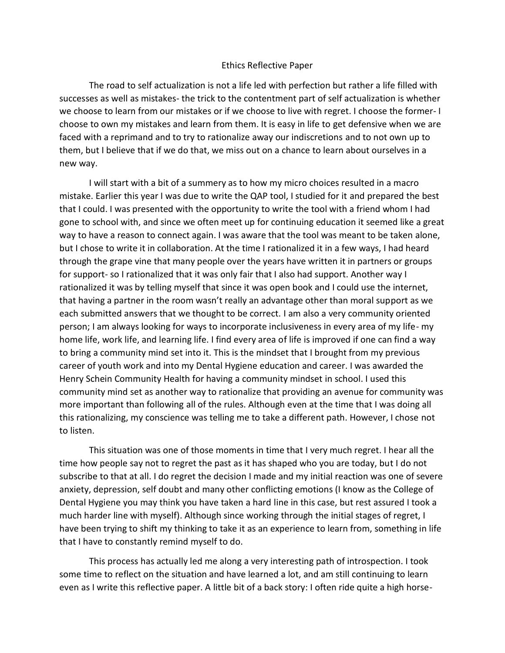## Ethics Reflective Paper

The road to self actualization is not a life led with perfection but rather a life filled with successes as well as mistakes- the trick to the contentment part of self actualization is whether we choose to learn from our mistakes or if we choose to live with regret. I choose the former- I choose to own my mistakes and learn from them. It is easy in life to get defensive when we are faced with a reprimand and to try to rationalize away our indiscretions and to not own up to them, but I believe that if we do that, we miss out on a chance to learn about ourselves in a new way.

I will start with a bit of a summery as to how my micro choices resulted in a macro mistake. Earlier this year I was due to write the QAP tool, I studied for it and prepared the best that I could. I was presented with the opportunity to write the tool with a friend whom I had gone to school with, and since we often meet up for continuing education it seemed like a great way to have a reason to connect again. I was aware that the tool was meant to be taken alone, but I chose to write it in collaboration. At the time I rationalized it in a few ways, I had heard through the grape vine that many people over the years have written it in partners or groups for support- so I rationalized that it was only fair that I also had support. Another way I rationalized it was by telling myself that since it was open book and I could use the internet, that having a partner in the room wasn't really an advantage other than moral support as we each submitted answers that we thought to be correct. I am also a very community oriented person; I am always looking for ways to incorporate inclusiveness in every area of my life- my home life, work life, and learning life. I find every area of life is improved if one can find a way to bring a community mind set into it. This is the mindset that I brought from my previous career of youth work and into my Dental Hygiene education and career. I was awarded the Henry Schein Community Health for having a community mindset in school. I used this community mind set as another way to rationalize that providing an avenue for community was more important than following all of the rules. Although even at the time that I was doing all this rationalizing, my conscience was telling me to take a different path. However, I chose not to listen.

This situation was one of those moments in time that I very much regret. I hear all the time how people say not to regret the past as it has shaped who you are today, but I do not subscribe to that at all. I do regret the decision I made and my initial reaction was one of severe anxiety, depression, self doubt and many other conflicting emotions (I know as the College of Dental Hygiene you may think you have taken a hard line in this case, but rest assured I took a much harder line with myself). Although since working through the initial stages of regret, I have been trying to shift my thinking to take it as an experience to learn from, something in life that I have to constantly remind myself to do.

This process has actually led me along a very interesting path of introspection. I took some time to reflect on the situation and have learned a lot, and am still continuing to learn even as I write this reflective paper. A little bit of a back story: I often ride quite a high horse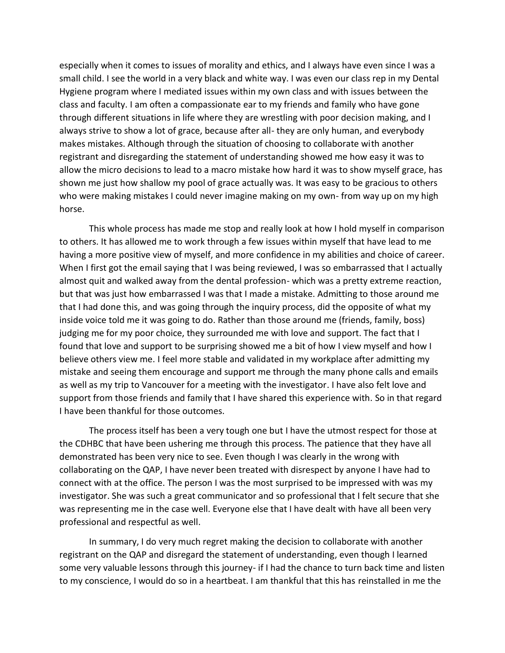especially when it comes to issues of morality and ethics, and I always have even since I was a small child. I see the world in a very black and white way. I was even our class rep in my Dental Hygiene program where I mediated issues within my own class and with issues between the class and faculty. I am often a compassionate ear to my friends and family who have gone through different situations in life where they are wrestling with poor decision making, and I always strive to show a lot of grace, because after all- they are only human, and everybody makes mistakes. Although through the situation of choosing to collaborate with another registrant and disregarding the statement of understanding showed me how easy it was to allow the micro decisions to lead to a macro mistake how hard it was to show myself grace, has shown me just how shallow my pool of grace actually was. It was easy to be gracious to others who were making mistakes I could never imagine making on my own- from way up on my high horse.

This whole process has made me stop and really look at how I hold myself in comparison to others. It has allowed me to work through a few issues within myself that have lead to me having a more positive view of myself, and more confidence in my abilities and choice of career. When I first got the email saying that I was being reviewed, I was so embarrassed that I actually almost quit and walked away from the dental profession- which was a pretty extreme reaction, but that was just how embarrassed I was that I made a mistake. Admitting to those around me that I had done this, and was going through the inquiry process, did the opposite of what my inside voice told me it was going to do. Rather than those around me (friends, family, boss) judging me for my poor choice, they surrounded me with love and support. The fact that I found that love and support to be surprising showed me a bit of how I view myself and how I believe others view me. I feel more stable and validated in my workplace after admitting my mistake and seeing them encourage and support me through the many phone calls and emails as well as my trip to Vancouver for a meeting with the investigator. I have also felt love and support from those friends and family that I have shared this experience with. So in that regard I have been thankful for those outcomes.

The process itself has been a very tough one but I have the utmost respect for those at the CDHBC that have been ushering me through this process. The patience that they have all demonstrated has been very nice to see. Even though I was clearly in the wrong with collaborating on the QAP, I have never been treated with disrespect by anyone I have had to connect with at the office. The person I was the most surprised to be impressed with was my investigator. She was such a great communicator and so professional that I felt secure that she was representing me in the case well. Everyone else that I have dealt with have all been very professional and respectful as well.

In summary, I do very much regret making the decision to collaborate with another registrant on the QAP and disregard the statement of understanding, even though I learned some very valuable lessons through this journey- if I had the chance to turn back time and listen to my conscience, I would do so in a heartbeat. I am thankful that this has reinstalled in me the